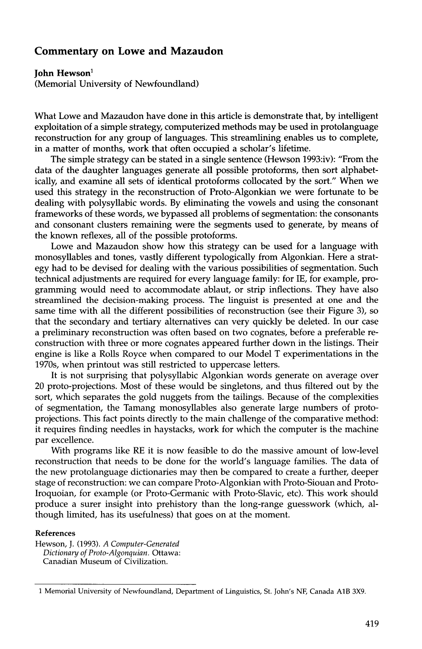## **Commentary on Lowe and Mazaudon**

## **John Hewson**<sup>1</sup>

**(Memorial University of Newfoundland)** 

What Lowe and Mazaudon have done in this article is demonstrate that, by intelligent exploitation of a simple strategy, computerized methods may be used in protolanguage reconstruction for any group of languages. This streamlining enables us to complete, in a matter of months, work that often occupied a scholar's lifetime.

The simple strategy can be stated in a single sentence (Hewson 1993:iv): "From the data of the daughter languages generate all possible protoforms, then sort alphabetically, and examine all sets of identical protoforms collocated by the sort." When we used this strategy in the reconstruction of Proto-Algonkian we were fortunate to be dealing with polysyllabic words. By eliminating the vowels and using the consonant frameworks of these words, we bypassed all problems of segmentation: the consonants and consonant clusters remaining were the segments used to generate, by means of the known reflexes, all of the possible protoforms.

Lowe and Mazaudon show how this strategy can be used for a language with monosyllables and tones, vastly different typologically from Algonkian. Here a strategy had to be devised for dealing with the various possibilities of segmentation. Such technical adjustments are required for every language family: for IE, for example, programming would need to accommodate ablaut, or strip inflections. They have also streamlined the decision-making process. The linguist is presented at one and the same time with all the different possibilities of reconstruction (see their Figure 3), so that the secondary and tertiary alternatives can very quickly be deleted. In our case a preliminary reconstruction was often based on two cognates, before a preferable reconstruction with three or more cognates appeared further down in the listings. Their engine is like a Rolls Royce when compared to our Model T experimentations in the 1970s, when printout was still restricted to uppercase letters.

It is not surprising that polysyllabic Algonkian words generate on average over 20 proto-projections. Most of these would be singletons, and thus filtered out by the sort, which separates the gold nuggets from the tailings. Because of the complexities of segmentation, the Tamang monosyllables also generate large numbers of protoprojections. This fact points directly to the main challenge of the comparative method: it requires finding needles in haystacks, work for which the computer is the machine par excellence.

With programs like RE it is now feasible to do the massive amount of low-level reconstruction that needs to be done for the world's language families. The data of the new protolanguage dictionaries may then be compared to create a further, deeper stage of reconstruction: we can compare Proto-Algonkian with Proto-Siouan and Proto-Iroquoian, for example (or Proto-Germanic with Proto-Slavic, etc). This work should produce a surer insight into prehistory than the long-range guesswork (which, although limited, has its usefulness) that goes on at the moment.

## **References**

Hewson, J. (1993). *A Computer-Generated Dictionary of Proto-Algonquian.* Ottawa: Canadian Museum of Civilization.

<sup>1</sup> Memorial University of Newfoundland, Department of Linguistics, St. John's NF, Canada AIB 3X9.